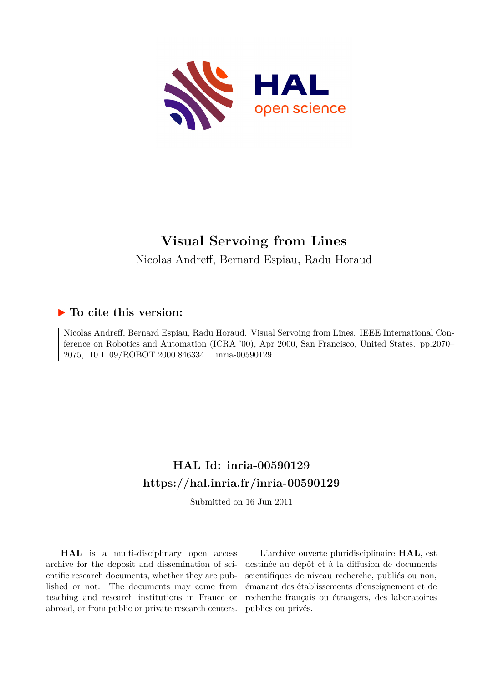

# **Visual Servoing from Lines** Nicolas Andreff, Bernard Espiau, Radu Horaud

## **To cite this version:**

Nicolas Andreff, Bernard Espiau, Radu Horaud. Visual Servoing from Lines. IEEE International Conference on Robotics and Automation (ICRA '00), Apr 2000, San Francisco, United States. pp.2070– 2075, 10.1109/ROBOT.2000.846334. inria-00590129

## **HAL Id: inria-00590129 <https://hal.inria.fr/inria-00590129>**

Submitted on 16 Jun 2011

**HAL** is a multi-disciplinary open access archive for the deposit and dissemination of scientific research documents, whether they are published or not. The documents may come from teaching and research institutions in France or abroad, or from public or private research centers.

L'archive ouverte pluridisciplinaire **HAL**, est destinée au dépôt et à la diffusion de documents scientifiques de niveau recherche, publiés ou non, émanant des établissements d'enseignement et de recherche français ou étrangers, des laboratoires publics ou privés.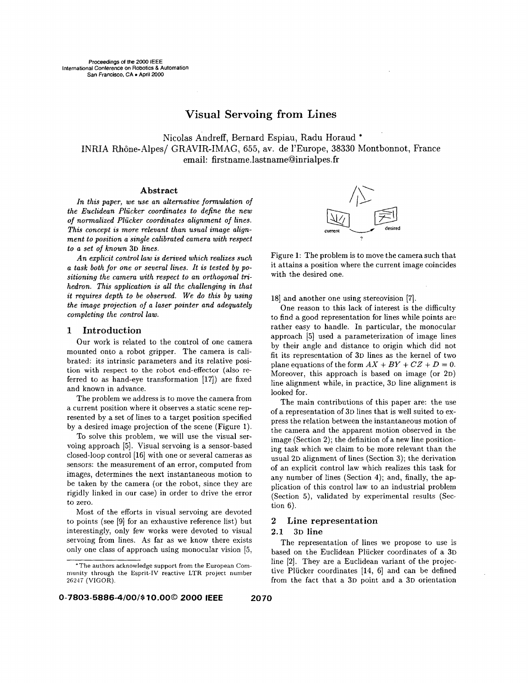## Visual Servoing from Lines

Nicolas Andreff, Bernard Espiau, Radu Horaud \* INRIA Rhône-Alpes/ GRAVIR-IMAG, 655, av. de l'Europe, 38330 Montbonnot, France email: firstname.lastname@inrialpes.fr

### **Abstract**

*In this paper, we use an alternative formulation of the Euclidean Plucker coordinates to define the new of normalized Plucker coordinates alignment of lines.*  This concept is more relevant than usual image align*ment to position a single calibrated camera with respect*  $to$  *a set of known* 3D lines.

*An explicit control law is derived which realizes such a task both for one or several lines. It is tested by positioning the camera with respect to an orthogonal trihedron. This application is all the challenging in that it requires depth to be observed. We do this by using the image projection of a laser pointer and adequately completing the control law.* 

## 1 Introduction

Our work is related to the control of one camera mounted onto a robot gripper. The camera is calibrated: its intrinsic parameters and its relative position with respect to the robot end-effector (also referred to as hand-eye transformation  $[17]$ ) are fixed and known in advance.

The problem we address is *to* move the camera from a current position where it observes a static scene represented by a set of lines to a target position specified by a desired image projection of the scene (Figure **1).** 

To solve this problem, we will use the visual servoing approach *[5].* Visual servoing is a sensor-based closed-loop control [16] with one or several cameras as sensors: the measurement of an error, computed from images, determines the next instantaneous motion to be taken by the camera (or the robot, since they are rigidly linked in our case) in order to drive the error to zero.

Most of the efforts in visual servoing are devoted to points (see [9] for an exhaustive reference list) but interestingly, only few works were devoted to visual servoing from lines. **As** far as we know there exists only one class of approach using monocular vision [5,



Figure **1:** The problem is to move the camera such that it attains **a** position where the current image coincides with the desired one.

181 and another one using stereovision [7].

One reason to this lack of interest is the difficulty to find a good representation for lines while points are rather easy to handle. In particular, the monocular approach [5] used a parameterization of image lines by their angle and distance to origin which did not fit its representation of 3D lines as the kernel of two plane equations of the form  $AX + BY + CZ + D = 0$ . Moreover, this approach is based on image (or 2D) line alignment while, in practice, 3D line alignment is looked for.

The main contributions of this paper are: the use of a representation of 3D lines that is well suited to express the relation between the instantaneous motion of the camera and the apparent motion observed in the image (Section 2); the definition of a new line positioning task which we claim to be more relevant than the usual 2D alignment of lines (Section 3); the derivation of an explicit control law which realizes this task for any number of lines (Section 4); and, finally, the application of this control law to an industrial problem (Section 5), validated by experimental results (Section **6).** 

### 2 Line representation

## 2.1 **3D** line

The representation of lines we propose to use is based on the Euclidean Plücker coordinates of a 3D line [2]. They are a Euclidean variant of the projective Plucker coordinates [14, **61** and can be defined from the fact that a 3D point and a 3D orientation

<sup>\*</sup>The authors acknowledge support from the European Community through the Esprit-IV reactive LTR project number 26247 (VIGOR).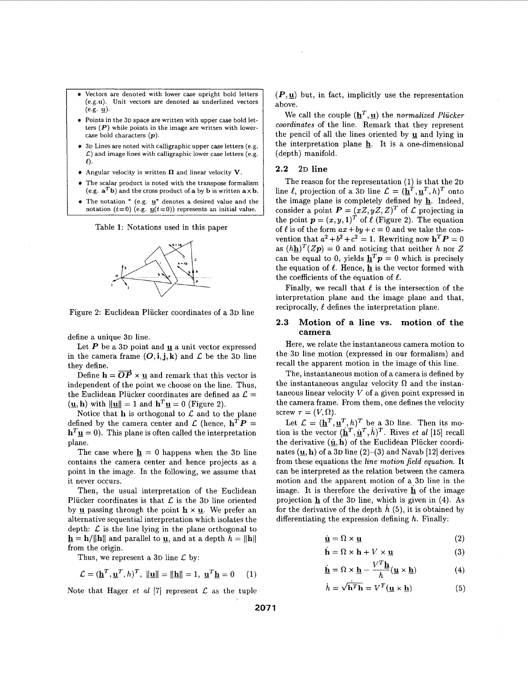- Vectors are denoted with lower case upright bold letters (e.g.u). Unit vectors are denoted **as** underlined vectors  $(e.g. \mathbf{u})$ .
- Points in the **3D** space are written with upper case bold letters *(P)* while points in the image are written with lowercase bold characters *(p).*
- **3D** Lines are noted with calligraphic upper case letters (e.g. *L)* and image lines with calligraphic lower case letters (e.g.  $\ell$
- Angular velocity is written **ft** and linear velocity V.
- The scalar product is noted with the transpose formalism (e.g.  $\mathbf{a}^T \mathbf{b}$ ) and the cross product of **a** by **b** is written  $\mathbf{a} \times \mathbf{b}$ .
- The notation \* (e.g. **u**\* denotes a desired value and the notation  $(t=0)$  (e.g.  $\underline{u}(t=0)$ ) represents an initial value.

Table 1: Notations used in this paper



Figure 2: Euclidean Plücker coordinates of a 3D line

define a unique 3D line.

Let  $P$  be a 3D point and  $\underline{u}$  a unit vector expressed in the camera frame  $(O,i,j,k)$  and  $\mathcal L$  be the 3D line they define.

Define  $h = \overrightarrow{OP} \times \underline{u}$  and remark that this vector is independent of the point we choose on the line. Thus, the Euclidean Plücker coordinates are defined as  $\mathcal{L} =$  $(\underline{\mathbf{u}}, \mathbf{h})$  with  $\|\underline{\mathbf{u}}\| = 1$  and  $\mathbf{h}^T \underline{\mathbf{u}} = 0$  (Figure 2).

Notice that  $h$  is orthogonal to  $\mathcal L$  and to the plane defined by the camera center and  $\mathcal{L}$  (hence,  $\mathbf{h}^T \mathbf{P} =$  $\mathbf{h}^T \mathbf{u} = 0$ . This plane is often called the interpretation plane.

The case where  $\mathbf{h} = 0$  happens when the 3D line contains the camera center and hence projects as a point in the image. In the following, we assume that it never occurs.

Then, the usual interpretation of the Euclidean Plucker coordinates is that  $\mathcal L$  is the 3D line oriented by **u** passing through the point  $h \times u$ . We prefer an alternative sequential interpretation which isolates the depth:  $\mathcal L$  is the line lying in the plane orthogonal to  $\mathbf{h} = \mathbf{h}/\|\mathbf{h}\|$  and parallel to *g*, and at a depth  $h = \|\mathbf{h}\|$ from the origin.

Thus, we represent a 3D line  $\mathcal L$  by:

$$
\mathcal{L} = (\underline{\mathbf{h}}^T, \underline{\mathbf{u}}^T, h)^T, \ \|\underline{\mathbf{u}}\| = \|\underline{\mathbf{h}}\| = 1, \ \underline{\mathbf{u}}^T \underline{\mathbf{h}} = 0 \tag{1}
$$

Note that Hager *et al* [7] represent  $\mathcal{L}$  as the tuple

 $(P, \underline{u})$  but, in fact, implicitly use the representation above.

We call the couple  $(\underline{\mathbf{h}}^T, \underline{\mathbf{u}})$  the *normalized Plücker coordinates* of the line. Remark that they represent the pencil of all the lines oriented by **U** and lying in the interpretation plane **h.** It is a one-dimensional (depth) manifold.

### **2.2 2D** line

The reason for the representation (1) is that the 2D line  $\ell$ , projection of a 3D line  $\mathcal{L} = (\mathbf{h}^T, \mathbf{u}^T, h)^T$  onto the image plane is completely defined by **h.** Indeed, consider a point  $P = (xZ, yZ, Z)^T$  of  $\mathcal L$  projecting in the point  $p = (x, y, 1)^T$  of  $\ell$  (Figure 2). The equation of  $\ell$  is of the form  $ax + by + c = 0$  and we take the convention that  $a^2 + b^2 + c^2 = 1$ . Rewriting now  $\mathbf{h}^T \mathbf{P} = 0$ as  $(hh)^{T}(Zp) = 0$  and noticing that neither *h* nor *Z* can be equal to 0, yields  $\mathbf{h}^T \mathbf{p} = 0$  which is precisely the equation of  $\ell$ . Hence,  $\underline{\mathbf{h}}$  is the vector formed with the coefficients of the equation of  $\ell$ .

Finally, we recall that  $\ell$  is the intersection of the interpretation plane and the image plane and that, reciprocally,  $\ell$  defines the interpretation plane.

## **2.3** Motion **of a** line **vs.** motion **of** the **camera**

Here, we relate the instantaneous camera motion to the 3D line motion (expressed in our formalism) and recall the apparent motion in the image of this line.

The, instantaneous motion of a camera is defined by the instantaneous angular velocity  $\Omega$  and the instantaneous linear velocity *V* of a given point expressed in the camera frame. From them, one defines the velocity screw  $\tau = (V, \Omega)$ .

Let  $\mathcal{L} = (\underline{\mathbf{h}}^T, \underline{\mathbf{u}}^T, h)^T$  be a 3D line. Then its motion is the vector  $(\mathbf{h}^T, \mathbf{u}^T, h)^T$ . Rives *et al* [15] recall the derivative  $(\dot{\mathbf{u}}, \dot{\mathbf{h}})$  of the Euclidean Plücker coordinates  $(\mathbf{u}, \mathbf{h})$  of a 3D line (2)-(3) and Navab [12] derives from these equations the *line motion field equation.* It can be interpreted as the relation between the camera motion and the apparent motion of a.3D line in the image. It is therefore the derivative **h** of the image projection **h** of the 3D line, which is given in **(4).** As for the derivative of the depth  $h(5)$ , it is obtained by differentiating the expression defining *h.* Finally:

$$
\dot{\mathbf{u}} = \Omega \times \mathbf{u} \tag{2}
$$

$$
\dot{\mathbf{h}} = \Omega \times \mathbf{h} + V \times \underline{\mathbf{u}} \tag{3}
$$

$$
\dot{\mathbf{h}} = \Omega \times \mathbf{h} - \frac{V^T \mathbf{h}}{h} (\mathbf{u} \times \mathbf{h})
$$
 (4)

$$
\dot{h} = \sqrt{\mathbf{h}^T \mathbf{h}} = V^T (\mathbf{u} \times \mathbf{h}) \tag{5}
$$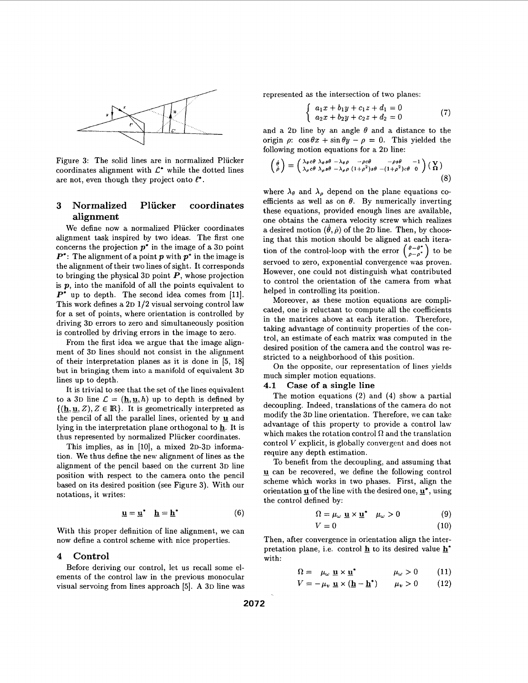

Figure **3:** The solid lines are in normalized Plucker coordinates alignment with  $\mathcal{L}^*$  while the dotted lines are not, even though they project onto  $\ell^*$ .

## **3 Normalized Plucker coordinates alignment**

We define now a normalized Plücker coordinates alignment task inspired by two ideas. The first one concerns the projection *p\** in the image of a **3D** point *P':* The alignment of a point *p* with *p\** in the image is the alignment of their two lines of sight. It corresponds to bringing the physical **3D** point *P,* whose projection is *p,* into the manifold of all the points equivalent to  $P^*$  up to depth. The second idea comes from [11]. This work defines a **2D 1/2** visual servoing control law for a set of points, where orientation is controlled by driving **3D** errors to zero and simultaneously position is controlled by driving errors in the image to zero.

From the first idea we argue that the image alignment of **3D** lines should not consist in the alignment of their interpretation planes as it is done in [5, 181 but in bringing them into **a** manifold of equivalent **3D**  lines up to depth.

It is trivial to see that the set of the lines equivalent to a 3D line  $\mathcal{L} = (\underline{\mathbf{h}}, \underline{\mathbf{u}}, h)$  up to depth is defined by  $\{(\underline{\mathbf{h}}, \underline{\mathbf{u}}, Z), Z \in \mathbb{R}\}.$  It is geometrically interpreted as the pencil of all the parallel lines, oriented by **g** and lying in the interpretation plane orthogonal to **h.** It is thus represented by normalized Plucker coordinates.

This implies, as in [10], a mixed 2D-3D information. We thus define the new alignment of lines as the alignment of the pencil based on the current **3D** line position with respect to the camera onto the pencil based on its desired position (see Figure **3).** With our notations, it writes:

$$
\underline{\mathbf{u}} = \underline{\mathbf{u}}^* \quad \underline{\mathbf{h}} = \underline{\mathbf{h}}^* \tag{6}
$$

With this proper definition of line alignment, we can now define a control scheme with nice properties.

## **4 Control**

Before deriving our control, let us recall some elements of the control law in the previous monocular visual servoing from lines approach [5]. **A 3D** line was represented as the intersection of two planes:

$$
\begin{cases}\n a_1x + b_1y + c_1z + d_1 = 0 \\
a_2x + b_2y + c_2z + d_2 = 0\n\end{cases}
$$
\n(7)

and a 2D line by an angle  $\theta$  and a distance to the origin  $\rho$ :  $\cos \theta x + \sin \theta y - \rho = 0$ . This yielded the

following motion equations for a 2D line:  
\n
$$
\begin{pmatrix} \dot{\theta} \\ \dot{\rho} \end{pmatrix} = \begin{pmatrix} \lambda_{\theta}c\theta & \lambda_{\theta}s\theta & -\lambda_{\theta}\rho & -\rho c\theta & -\rho s\theta & -1 \\ \lambda_{\rho}c\theta & \lambda_{\rho}s\theta & -\lambda_{\rho}\rho & (1+\rho^2)s\theta & -(1+\rho^2)c\theta & 0 \end{pmatrix} \begin{pmatrix} \mathbf{V} \\ \mathbf{\Omega} \end{pmatrix}
$$
\n(8)

where  $\lambda_{\theta}$  and  $\lambda_{\rho}$  depend on the plane equations coefficients as well as on  $\theta$ . By numerically inverting these equations, provided enough lines are available, one obtains the camera velocity screw which realizes a desired motion  $(\theta, \dot{\rho})$  of the 2D line. Then, by choosing that this motion should be aligned at each iteration of the control-loop with the error  $\begin{pmatrix} \theta - \theta^* \\ \rho - \rho^* \end{pmatrix}$  to be servoed to zero, exponential convergence was proven. However, one could not distinguish what contributed to control the orientation of the camera from what helped in controlling its position.

Moreover, **as** these motion equations are complicated, one is reluctant to compute all the coefficients in the matrices above at each iteration. Therefore, taking advantage of continuity properties of the control, an estimate of each matrix was computed in the desired position of the camera and the control was restricted to a neighborhood of this position.

On the opposite, our representation of lines yields much simpler motion equations.

### **4.1 Case of a single line**

The motion equations **(2)** and **(4)** show a partial decoupling. Indeed, translations of the camera do not modify the **3D** line orientation. Therefore, we can take advantage of this property to provide a control law which makes the rotation control  $\Omega$  and the translation control *V* explicit, is globally convergent and does not require any depth estimation.

To benefit from the decoupling, and assuming that **u** can be recovered, we define the following control scheme which works in two phases. First, align the orientation *u* of the line with the desired one, **u**<sup>\*</sup>, **using** the control defined by:

$$
\Omega = \mu_{\omega} \underline{\mathbf{u}} \times \underline{\mathbf{u}}^* \quad \mu_{\omega} > 0 \tag{9}
$$
  

$$
V = 0 \tag{10}
$$

Then, after convergence in orientation align the interpretation plane, i.e. control  $\underline{\mathbf{h}}$  to its desired value  $\underline{\mathbf{h}}^*$ with:

$$
\Omega = \mu_{\omega} \underline{\mathbf{u}} \times \underline{\mathbf{u}}^* \qquad \mu_{\omega} > 0 \qquad (11)
$$

$$
V = -\mu_v \underline{\mathbf{u}} \times (\underline{\mathbf{h}} - \underline{\mathbf{h}}^*) \qquad \mu_v > 0 \qquad (12)
$$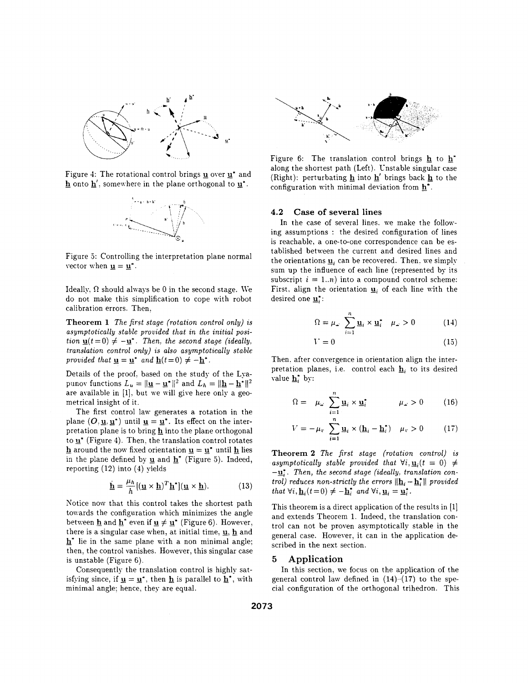

Figure 4: The rotational control brings *g* over *g***<sup>\*</sup>** and  $\underline{\mathbf{h}}$  onto  $\underline{\mathbf{h}}'$ , somewhere in the plane orthogonal to  $\underline{\mathbf{u}}^*$ .



Figure **3:** Controlling the interpretation plane normal vector when  $\underline{\mathbf{u}} = \underline{\mathbf{u}}^*$ .

Ideally,  $\Omega$  should always be 0 in the second stage. We do not make this simplification to cope xith robot calibration errors. Then.

**Theorem 1** *The first stage (rotation control only) is* asymptotically stable provided that in the initial posi*tion*  $\underline{\mathbf{u}}(t=0) \neq -\underline{\mathbf{u}}^*$ . Then, the second stage (ideally, *translation control only) is also asymptotically stable provided that*  $\underline{\mathbf{u}} = \underline{\mathbf{u}}^*$  *and*  $\underline{\mathbf{h}}(t=0) \neq -\underline{\mathbf{h}}^*$ .

Details of the proof. based on the study of the Lyapunov functions  $L_u = ||\underline{\mathbf{u}} - \underline{\mathbf{u}}^*||^2$  and  $L_h = ||\underline{\mathbf{h}} - \underline{\mathbf{h}}^*||^2$ are available in [l]. but we will give here only a geometrical insight of it.

The first control law generates a rotation in the plane  $(O, \underline{u}, \underline{u}^*)$  until  $\underline{u} = \underline{u}^*$ . Its effect on the interpretation plane is to bring **h** into the plane orthogonal to  $\underline{\mathbf{u}}^*$  (Figure 4). Then, the translation control rotates **h**around the now fixed orientation  $\mathbf{u} = \mathbf{u}^*$  until **h** lies in the plane defined by  $\underline{u}$  and  $\underline{h}^*$  (Figure 5). Indeed, reporting (12) into **(4)** yields

$$
\dot{\underline{\mathbf{h}}} = \frac{\mu_h}{h} [(\underline{\mathbf{u}} \times \underline{\mathbf{h}})^T \underline{\mathbf{h}}^*] (\underline{\mathbf{u}} \times \underline{\mathbf{h}}).
$$
 (13)

Notice now that this control takes the shortest path towards the configuration which minimizes the angle between  $\underline{\mathbf{h}}$  and  $\underline{\mathbf{h}}^*$  even if  $\underline{\mathbf{u}} \neq \underline{\mathbf{u}}^*$  (Figure 6). However, there is a singular case when, at initial time, *g,* **h** and - **h\*** lie in the same plane with a non minimal angle; then. the control vanishes. However, this singular case is unstable (Figure **6).** 

Consequently the translation control is highly satisfying since, if  $\underline{u} = \underline{u}^*$ , then  $\underline{h}$  is parallel to  $\underline{h}^*$ , with minimal angle; hence. they are equal.



Figure 6: The translation control brings **h** to along the shortest path (Left). Cnstable singular case (Right): perturbating **h** into **h'** brings back **h** to the configuration with minimal deviation from **h'.** 

## **4.2 Case of several lines**

In the case of several lines, we make the following assumptions : the desired configuration of lines is reachable, a one-to-one correspondence can be established between the current and desired lines and the orientations  $\underline{\mathbf{u}}_i$  can be recovered. Then, we simply sum up the influence of each line (represented by its subscript  $i = 1..n$ ) into a compound control scheme: First, align the orientation  $\mathbf{u}_i$  of each line with the desired one **u**<sup>\*</sup>:

$$
\Omega = \mu_{\omega} \sum_{i=1}^{n} \underline{\mathbf{u}}_i \times \underline{\mathbf{u}}_i^* \quad \mu_{\omega} > 0 \tag{14}
$$

$$
V = 0 \tag{15}
$$

Then. after convergence in orientation align the interpretation planes, i.e. control each  $\mathbf{h}_i$  to its desired value **h:** by:

$$
\Omega = \mu_{\omega} \sum_{i=1}^{n} \underline{\mathbf{u}}_{i} \times \underline{\mathbf{u}}_{i}^{*} \qquad \mu_{\omega} > 0 \qquad (16)
$$

$$
V = -\mu_v \sum_{i=1}^n \underline{\mathbf{u}}_i \times (\underline{\mathbf{h}}_i - \underline{\mathbf{h}}_i^*) \quad \mu_v > 0 \tag{17}
$$

**Theorem 2** *The first stage (rotation control) is*  asymptotically stable provided that  $\forall i, \mathbf{u}_i(t = 0) \neq$  $-\underline{\mathbf{u}}_i^*$ . Then, the second stage (ideally, translation con*trol) reduces non-strictly the errors*  $\|\mathbf{h}_i - \mathbf{h}_i^*\|$  *provided that*  $\forall i, \underline{\mathbf{h}}_i(t=0) \neq -\underline{\mathbf{h}}_i^*$  *and*  $\forall i, \underline{\mathbf{u}}_i = \underline{\mathbf{u}}_i^*$ *.* 

This theorem is a direct application of the results in [l] and extends Theorem 1. Indeed, the translation control can not be proven asymptotically stable in the general case. However, it can in the application described in the next section.

## *5* **Application**

In this section, we focus on the application of the general control law defined in **(14)-(17)** to the special configuration of the orthogonal trihedron. This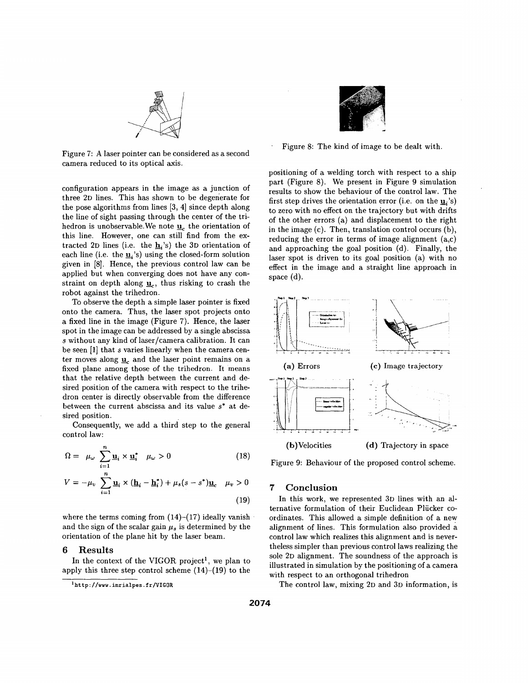

Figure **7: A** laser pointer can be considered as a second camera reduced to its optical axis.

configuration appears in the image as a junction of three **2D** lines. This has shown to be degenerate for the pose algorithms from lines **[3, 41** since depth along the line of sight passing through the center of the trihedron is unobservable. We note **1**, the orientation of this line. However, one can still find from the extracted 2D lines (i.e. the  $\mathbf{h}_i$ 's) the 3D orientation of each line (i.e. the  $\underline{\mathbf{u}}_i$ 's) using the closed-form solution given in *[8].* Hence, the previous control law can be applied but when converging does not have any constraint on depth along  $\underline{u}_c$ , thus risking to crash the robot against the trihedron.

To observe the depth a simple laser pointer is fixed onto the camera. Thus, the laser spot projects onto **a** fixed line in the image (Figure 7). Hence, the laser spot in the image can be addressed by a single abscissa s without any kind of laser/camera calibration. It can be seen [1] that s varies linearly when the camera center moves along  $\underline{\mathbf{u}}_c$  and the laser point remains on a fixed plane among those of the trihedron. It means that the relative depth between the current and desired position of the camera with respect to the trihedron center is directly observable from the difference between the current abscissa and its value **s\*** at desired position.

Consequently, we add a third step to the general control law:

$$
\Omega = \mu_{\omega} \sum_{i=1}^{n} \underline{\mathbf{u}}_{i} \times \underline{\mathbf{u}}_{i}^{*} \quad \mu_{\omega} > 0 \tag{18}
$$

$$
V = -\mu_v \sum_{i=1}^n \underline{\mathbf{u}}_i \times (\underline{\mathbf{h}}_i - \underline{\mathbf{h}}_i^*) + \mu_s (s - s^*) \underline{\mathbf{u}}_c \quad \mu_v > 0
$$

**(19)** 

where the terms coming from  $(14)-(17)$  ideally vanish and the sign of the scalar gain  $\mu_s$  is determined by the orientation of the plane hit by the laser beam.

## *6* **Results**

In the context of the VIGOR project', we plan to apply this three step control scheme **(14)-(19)** to the



Figure 8: The kind of image to be dealt with.

positioning of a welding torch with respect to a ship part (Figure 8). We present in Figure **9** simulation results to show the behaviour of the control law. The first step drives the orientation error (i.e. on the *gi's)*  to zero with no effect on the trajectory but with drifts of the other errors (a) and displacement to the right in the image (c). Then, translation control occurs (b), reducing the error in terms of image alignment (a,c) and approaching the goal position (d). Finally, the laser spot is driven to its goal position (a) with no effect in the image and a straight line approach in space (d).



Figure **9:** Behaviour of the proposed control scheme.

## *7* **Conclusion**

In this work, we represented **3D** lines with an alternative formulation of their Euclidean Plücker coordinates. This allowed a simple definition of a new alignment of lines. This formulation also provided **a**  control law which realizes this alignment and is nevertheless simpler than previous control laws realizing the sole **2D** alignment. The soundness of the approach is illustrated in simulation by the positioning of a camera with respect to an orthogonal trihedron

The control law, mixing **2D** and **3D** information, is

**[<sup>&#</sup>x27;http://uuu.](http://uuu) inrialpes .fr/VIGOR**